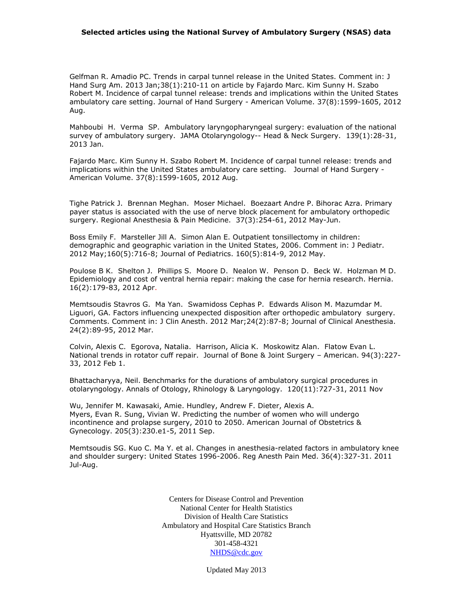## **Selected articles using the National Survey of Ambulatory Surgery (NSAS) data**

Gelfman R. Amadio PC. Trends in carpal tunnel release in the United States. Comment in: J Hand Surg Am. 2013 Jan;38(1):210-11 on article by Fajardo Marc. Kim Sunny H. Szabo Robert M. Incidence of carpal tunnel release: trends and implications within the United States ambulatory care setting. Journal of Hand Surgery - American Volume. 37(8):1599-1605, 2012 Aug.

Mahboubi H. Verma SP. Ambulatory laryngopharyngeal surgery: evaluation of the national survey of ambulatory surgery. JAMA Otolaryngology-- Head & Neck Surgery. 139(1):28-31, 2013 Jan.

Fajardo Marc. Kim Sunny H. Szabo Robert M. Incidence of carpal tunnel release: trends and implications within the United States ambulatory care setting. Journal of Hand Surgery - American Volume. 37(8):1599-1605, 2012 Aug.

Tighe Patrick J. Brennan Meghan. Moser Michael. Boezaart Andre P. Bihorac Azra. Primary payer status is associated with the use of nerve block placement for ambulatory orthopedic surgery. Regional Anesthesia & Pain Medicine. 37(3):254-61, 2012 May-Jun.

Boss Emily F. Marsteller Jill A. Simon Alan E. Outpatient tonsillectomy in children: demographic and geographic variation in the United States, 2006. Comment in: J Pediatr. 2012 May;160(5):716-8; Journal of Pediatrics. 160(5):814-9, 2012 May.

Poulose B K. Shelton J. Phillips S. Moore D. Nealon W. Penson D. Beck W. Holzman M D. Epidemiology and cost of ventral hernia repair: making the case for hernia research. Hernia. 16(2):179-83, 2012 Apr.

Memtsoudis Stavros G. Ma Yan. Swamidoss Cephas P. Edwards Alison M. Mazumdar M. Liguori, GA. Factors influencing unexpected disposition after orthopedic ambulatory surgery. Comments. Comment in: J Clin Anesth. 2012 Mar;24(2):87-8; Journal of Clinical Anesthesia. 24(2):89-95, 2012 Mar.

Colvin, Alexis C. Egorova, Natalia. Harrison, Alicia K. Moskowitz Alan. Flatow Evan L. National trends in rotator cuff repair. Journal of Bone & Joint Surgery – American. 94(3):227- 33, 2012 Feb 1.

Bhattacharyya, Neil. Benchmarks for the durations of ambulatory surgical procedures in otolaryngology. Annals of Otology, Rhinology & Laryngology. 120(11):727-31, 2011 Nov

Wu, Jennifer M. Kawasaki, Amie. Hundley, Andrew F. Dieter, Alexis A. Myers, Evan R. Sung, Vivian W. Predicting the number of women who will undergo incontinence and prolapse surgery, 2010 to 2050. American Journal of Obstetrics & Gynecology. 205(3):230.e1-5, 2011 Sep.

Memtsoudis SG. Kuo C. Ma Y. et al. Changes in anesthesia-related factors in ambulatory knee and shoulder surgery: United States 1996-2006. Reg Anesth Pain Med. 36(4):327-31. 2011 Jul-Aug.

> Centers for Disease Control and Prevention National Center for Health Statistics Division of Health Care Statistics Ambulatory and Hospital Care Statistics Branch Hyattsville, MD 20782 301-458-4321 NHDS@cdc.gov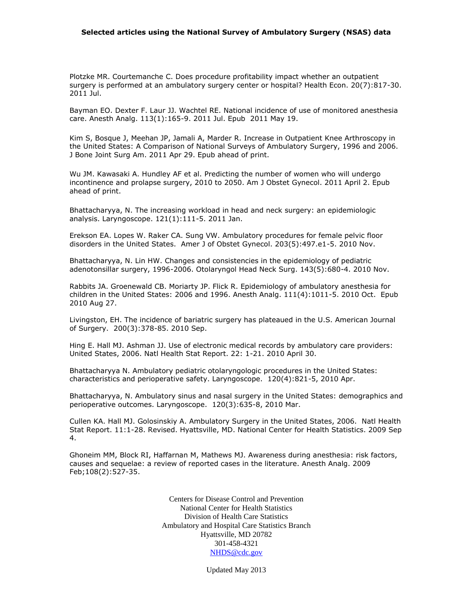## **Selected articles using the National Survey of Ambulatory Surgery (NSAS) data**

Plotzke MR. Courtemanche C. Does procedure profitability impact whether an outpatient surgery is performed at an ambulatory surgery center or hospital? Health Econ. 20(7):817-30. 2011 Jul.

Bayman EO. Dexter F. Laur JJ. Wachtel RE. National incidence of use of monitored anesthesia care. Anesth Analg. 113(1):165-9. 2011 Jul. Epub 2011 May 19.

Kim S, Bosque J, Meehan JP, Jamali A, Marder R. [Increase in Outpatient Knee Arthroscopy in](http://www.ncbi.nlm.nih.gov/pubmed/21531866)  the United States: A Comparison of National [Surveys of Ambulatory Surgery, 1996 and 2006.](http://www.ncbi.nlm.nih.gov/pubmed/21531866) J Bone Joint Surg Am. 2011 Apr 29. Epub ahead of print.

Wu JM. Kawasaki A. Hundley AF et al. Predicting the number of women who will undergo incontinence and prolapse surgery, 2010 to 2050. Am J Obstet Gynecol. 2011 April 2. Epub ahead of print.

Bhattacharyya, N. The increasing workload in head and neck surgery: an epidemiologic analysis. Laryngoscope. 121(1):111-5. 2011 Jan.

Erekson EA. Lopes W. Raker CA. Sung VW. Ambulatory procedures for female pelvic floor disorders in the United States. Amer J of Obstet Gynecol. 203(5):497.e1-5. 2010 Nov.

Bhattacharyya, N. Lin HW. Changes and consistencies in the epidemiology of pediatric adenotonsillar surgery, 1996-2006. Otolaryngol Head Neck Surg. 143(5):680-4. 2010 Nov.

Rabbits JA. Groenewald CB. Moriarty JP. Flick R. Epidemiology of ambulatory anesthesia for children in the United States: 2006 and 1996. Anesth Analg. 111(4):1011-5. 2010 Oct. Epub 2010 Aug 27.

Livingston, EH. The incidence of bariatric surgery has plateaued in the U.S. American Journal of Surgery. 200(3):378-85. 2010 Sep.

Hing E. Hall MJ. Ashman JJ. Use of electronic medical records by ambulatory care providers: United States, 2006. Natl Health Stat Report. 22: 1-21. 2010 April 30.

Bhattacharyya N. Ambulatory pediatric otolaryngologic procedures in the United States: characteristics and perioperative safety. Laryngoscope. 120(4):821-5, 2010 Apr.

Bhattacharyya, N. Ambulatory sinus and nasal surgery in the United States: demographics and perioperative outcomes. Laryngoscope. 120(3):635-8, 2010 Mar.

Cullen KA. Hall MJ. Golosinskiy A. Ambulatory Surgery in the United States, 2006. Natl Health Stat Report. 11:1-28. Revised. Hyattsville, MD. National Center for Health Statistics. 2009 Sep 4.

Ghoneim MM, Block RI, Haffarnan M, Mathews MJ. Awareness during anesthesia: risk factors, causes and sequelae: a review of reported cases in the literature. Anesth Analg. 2009 Feb;108(2):527-35.

> Centers for Disease Control and Prevention National Center for Health Statistics Division of Health Care Statistics Ambulatory and Hospital Care Statistics Branch Hyattsville, MD 20782 301-458-4321 NHDS@cdc.gov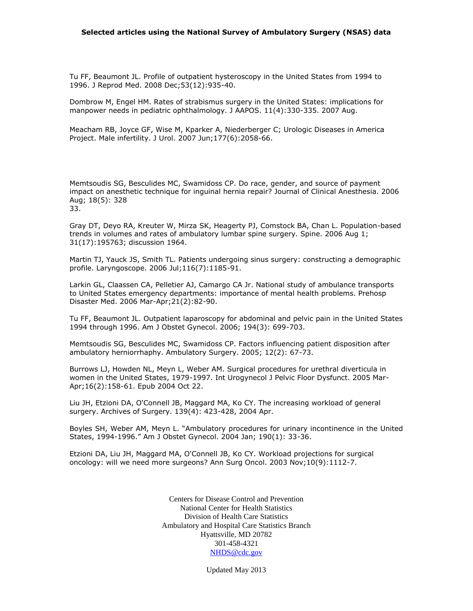Tu FF, Beaumont JL. Profile of outpatient hysteroscopy in the United States from 1994 to 1996. J Reprod Med. 2008 Dec;53(12):935-40.

Dombrow M, Engel HM. Rates of strabismus surgery in the United States: implications for manpower needs in pediatric ophthalmology. J AAPOS. 11(4):330-335. 2007 Aug.

Meacham RB, Joyce GF, Wise M, Kparker A, Niederberger C; Urologic Diseases in America Project. Male infertility. J Urol. 2007 Jun;177(6):2058-66.

Memtsoudis SG, Besculides MC, Swamidoss CP. Do race, gender, and source of payment impact on anesthetic technique for inguinal hernia repair? Journal of Clinical Anesthesia. 2006 Aug; 18(5): 328 33.

Gray DT, Deyo RA, Kreuter W, Mirza SK, Heagerty PJ, Comstock BA, Chan L. Population-based trends in volumes and rates of ambulatory lumbar spine surgery. Spine. 2006 Aug 1; 31(17):195763; discussion 1964.

Martin TJ, Yauck JS, Smith TL. Patients undergoing sinus surgery: constructing a demographic profile. Laryngoscope. 2006 Jul;116(7):1185-91.

Larkin GL, Claassen CA, Pelletier AJ, Camargo CA Jr. National study of ambulance transports to United States emergency departments: importance of mental health problems. Prehosp Disaster Med. 2006 Mar-Apr;21(2):82-90.

Tu FF, Beaumont JL. Outpatient laparoscopy for abdominal and pelvic pain in the United States 1994 through 1996. Am J Obstet Gynecol. 2006; 194(3): 699-703.

Memtsoudis SG, Besculides MC, Swamidoss CP. Factors influencing patient disposition after ambulatory herniorrhaphy. Ambulatory Surgery. 2005; 12(2): 67-73.

Burrows LJ, Howden NL, Meyn L, Weber AM. Surgical procedures for urethral diverticula in women in the United States, 1979-1997. Int Urogynecol J Pelvic Floor Dysfunct. 2005 Mar-Apr;16(2):158-61. Epub 2004 Oct 22.

Liu JH, Etzioni DA, O'Connell JB, Maggard MA, Ko CY. The increasing workload of general surgery. Archives of Surgery. 139(4): 423-428, 2004 Apr.

Boyles SH, Weber AM, Meyn L. "Ambulatory procedures for urinary incontinence in the United States, 1994-1996." Am J Obstet Gynecol. 2004 Jan; 190(1): 33-36.

Etzioni DA, Liu JH, Maggard MA, O'Connell JB, Ko CY. Workload projections for surgical oncology: will we need more surgeons? Ann Surg Oncol. 2003 Nov;10(9):1112-7.

> Centers for Disease Control and Prevention National Center for Health Statistics Division of Health Care Statistics Ambulatory and Hospital Care Statistics Branch Hyattsville, MD 20782 301-458-4321 NHDS@cdc.gov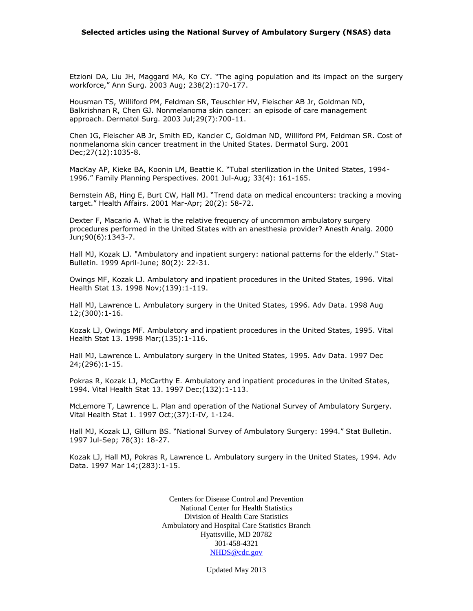Etzioni DA, Liu JH, Maggard MA, Ko CY. "The aging population and its impact on the surgery workforce," Ann Surg. 2003 Aug; 238(2):170-177.

Housman TS, Williford PM, Feldman SR, Teuschler HV, Fleischer AB Jr, Goldman ND, Balkrishnan R, Chen GJ. Nonmelanoma skin cancer: an episode of care management approach. Dermatol Surg. 2003 Jul;29(7):700-11.

Chen JG, Fleischer AB Jr, Smith ED, Kancler C, Goldman ND, Williford PM, Feldman SR. Cost of nonmelanoma skin cancer treatment in the United States. Dermatol Surg. 2001 Dec;27(12):1035-8.

MacKay AP, Kieke BA, Koonin LM, Beattie K. "Tubal sterilization in the United States, 1994- 1996." Family Planning Perspectives. 2001 Jul-Aug; 33(4): 161-165.

Bernstein AB, Hing E, Burt CW, Hall MJ. "Trend data on medical encounters: tracking a moving target." Health Affairs. 2001 Mar-Apr; 20(2): 58-72.

Dexter F, Macario A. What is the relative frequency of uncommon ambulatory surgery procedures performed in the United States with an anesthesia provider? Anesth Analg. 2000 Jun;90(6):1343-7.

Hall MJ, Kozak LJ. "Ambulatory and inpatient surgery: national patterns for the elderly." Stat-Bulletin. 1999 April-June; 80(2): 22-31.

Owings MF, Kozak LJ. Ambulatory and inpatient procedures in the United States, 1996. Vital Health Stat 13. 1998 Nov;(139):1-119.

Hall MJ, Lawrence L. Ambulatory surgery in the United States, 1996. Adv Data. 1998 Aug 12;(300):1-16.

Kozak LJ, Owings MF. Ambulatory and inpatient procedures in the United States, 1995. Vital Health Stat 13. 1998 Mar;(135):1-116.

Hall MJ, Lawrence L. Ambulatory surgery in the United States, 1995. Adv Data. 1997 Dec 24;(296):1-15.

Pokras R, Kozak LJ, McCarthy E. Ambulatory and inpatient procedures in the United States, 1994. Vital Health Stat 13. 1997 Dec;(132):1-113.

McLemore T, Lawrence L. Plan and operation of the National Survey of Ambulatory Surgery. Vital Health Stat 1. 1997 Oct;(37):I-IV, 1-124.

Hall MJ, Kozak LJ, Gillum BS. "National Survey of Ambulatory Surgery: 1994." Stat Bulletin. 1997 Jul-Sep; 78(3): 18-27.

Kozak LJ, Hall MJ, Pokras R, Lawrence L. Ambulatory surgery in the United States, 1994. Adv Data. 1997 Mar 14;(283):1-15.

> Centers for Disease Control and Prevention National Center for Health Statistics Division of Health Care Statistics Ambulatory and Hospital Care Statistics Branch Hyattsville, MD 20782 301-458-4321 NHDS@cdc.gov